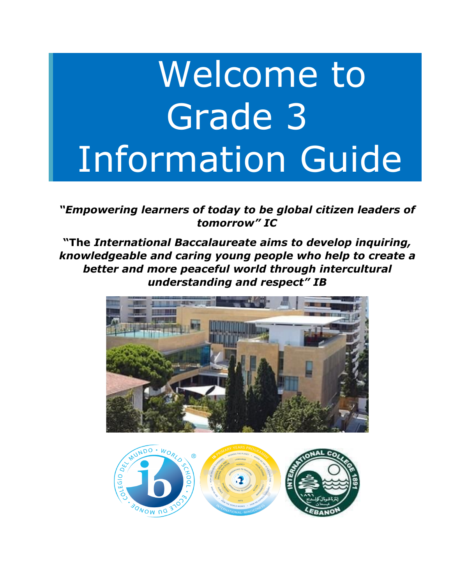# Welcome to Grade 3 Information Guide

*"Empowering learners of today to be global citizen leaders of tomorrow" IC*

**"The** *International Baccalaureate aims to develop inquiring, knowledgeable and caring young people who help to create a better and more peaceful world through intercultural understanding and respect" IB*



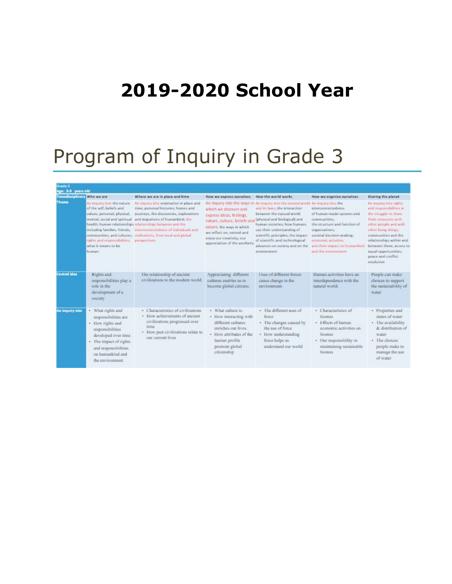### **2019-2020 School Year**

# Program of Inquiry in Grade 3

| Grade 3<br>Age: 8-9 years old |                                                                                                                                                                                                                         |                                                                                                                                                                                                                                                                                                                                                          |                                                                                                                                                                                                                                         |                                                                                                                                                                                                                                                                                                                                         |                                                                                                                                                                                                                                  |                                                                                                                                                                                                                                                                                                   |
|-------------------------------|-------------------------------------------------------------------------------------------------------------------------------------------------------------------------------------------------------------------------|----------------------------------------------------------------------------------------------------------------------------------------------------------------------------------------------------------------------------------------------------------------------------------------------------------------------------------------------------------|-----------------------------------------------------------------------------------------------------------------------------------------------------------------------------------------------------------------------------------------|-----------------------------------------------------------------------------------------------------------------------------------------------------------------------------------------------------------------------------------------------------------------------------------------------------------------------------------------|----------------------------------------------------------------------------------------------------------------------------------------------------------------------------------------------------------------------------------|---------------------------------------------------------------------------------------------------------------------------------------------------------------------------------------------------------------------------------------------------------------------------------------------------|
| <b>Transdisciplinary</b>      | Who we are                                                                                                                                                                                                              | Where we are in place and time                                                                                                                                                                                                                                                                                                                           | How we express ourselves                                                                                                                                                                                                                | How the world works.                                                                                                                                                                                                                                                                                                                    | How we organize ourselves.                                                                                                                                                                                                       | Sharing the planet                                                                                                                                                                                                                                                                                |
| Thomas                        | An inquiry into the eature.<br>of the self; beliefs and<br>values; personal, physical,<br>mental, social and spiritual<br>including families, friends,<br>rights and responsibilities.<br>what it means to be<br>human. | An inquiry into crientation in place and<br>time; personal histories; homes and<br>journeys; the discoveries, explorations.<br>and migrations of humankind; the<br>health; human relationships relationships between and the<br>interconnectedness of individuals and<br>communities, and cultures; civilizations, from local and global<br>perspectives | which we discover and<br>express ideas, feelings,<br>nature, culture, beliefs and lehysical and biological) and<br>values; the ways in which<br>we reflect on, extend and<br>enjoy our creativity; our<br>appreciation of the aesthetic | An inquiry into the ways in An inquiry into the natural world An inquiry into the<br>and its laws; the interaction<br>between the natural world.<br>human societies; how humans<br>use their understanding of<br>scientific principles; the impact<br>of scientific and technological<br>advances on society and on the<br>annironment. | interconnectedness.<br>of human-made systems and<br>communities:<br>the structure and function of<br>organizations;<br>secietal decision-making:<br>economic activities<br>and their impact on humankind<br>and the environment. | An inquiry into rights<br>and responsibilities in<br>the struggle to share.<br>finite resources with<br>other people and with<br>other living things;<br>communities and the<br>relationships within and<br>between them; access to<br>equal opportunities;<br>peace and conflict.<br>resolution. |
| <b>Control Idea</b>           | Rights and<br>responsibilities play a<br>role in the<br>development of a<br>society                                                                                                                                     | The relationship of ancient<br>civilizations to the modern world.                                                                                                                                                                                                                                                                                        | Appreciating different<br>cultures enables us to<br>become global citizens.                                                                                                                                                             | Uses of different forces<br>cause change in the<br>environment.                                                                                                                                                                                                                                                                         | Human activities have an<br>interdependence with the<br>natural world.                                                                                                                                                           | People can make<br>choices to support<br>the sustainability of<br>water                                                                                                                                                                                                                           |
| An inquiry into               | · What rights and<br>responsibilities are<br>· How rights and<br>responsibilities<br>developed over time<br>· The impact of rights<br>and responsibilities<br>on humankind and<br>the envaronment                       | · Characteristics of civilizations<br>· How achievements of ancient<br>civilizations progressed over<br>time<br>· How past civilizations relate to<br>our current lives                                                                                                                                                                                  | · What culture is.<br>· How interacting with<br>different cultures.<br>enriches our lives.<br>· How attributes of the<br>learner profile<br>promote global<br>citizenship                                                               | · The different uses of<br>force<br>· The changes caused by<br>the use of force.<br>· How understanding<br>force helps us<br>understand our world                                                                                                                                                                                       | - Characteristics of<br>biomes<br>· Effects of human<br>economic activities on<br>biomes<br>· Our responsibility in<br>maintaining sustainable<br>biomes                                                                         | · Properties and<br>states of water.<br>· The availability<br>& distribution of<br>water<br>· The choices<br>people make to<br>manage the use<br>of water                                                                                                                                         |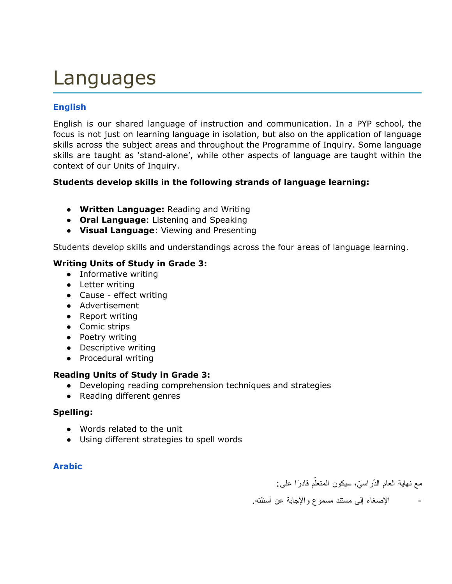# Languages

### **English**

English is our shared language of instruction and communication. In a PYP school, the focus is not just on learning language in isolation, but also on the application of language skills across the subject areas and throughout the Programme of Inquiry. Some language skills are taught as 'stand-alone', while other aspects of language are taught within the context of our Units of Inquiry.

### **Students develop skills in the following strands of language learning:**

- **Written Language:** Reading and Writing
- **Oral Language**: Listening and Speaking
- **Visual Language**: Viewing and Presenting

Students develop skills and understandings across the four areas of language learning.

### **Writing Units of Study in Grade 3:**

- Informative writing
- Letter writing
- Cause effect writing
- Advertisement
- Report writing
- Comic strips
- Poetry writing
- Descriptive writing
- Procedural writing

#### **Reading Units of Study in Grade 3:**

- Developing reading comprehension techniques and strategies
- Reading different genres

### **Spelling:**

- Words related to the unit
- Using different strategies to spell words

### **Arabic**

مع نهاية العام الدّراسيّ، سيكون المتعلّم قادرًا على:

- الإصغاء إلى مستند مسموع والإجابة عن أسئلته.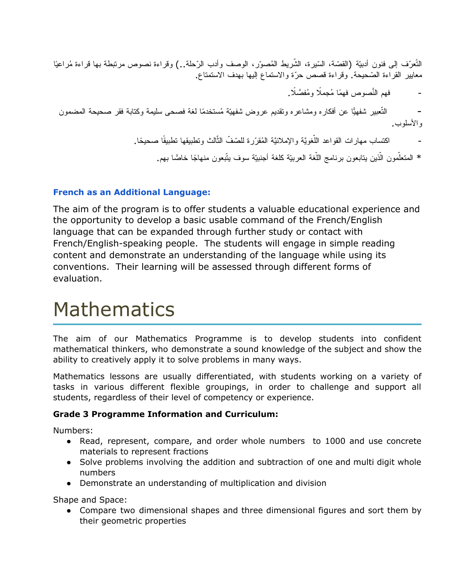النّعرّف إلى فنون أدبيّة (القصّة، السّيرة، الشّريط المُصوّر، الوصف وأدب الرّحلة..) وقراءة نصوص مرتبطة بها قراءة مُراعيًا معاییر القراءة الصّحیحة. وقراءة قصص حرّة والاستماع إلیها بهدف الاستمتاع.

فهم النَّصوص فهمًا مُحملًا ومُفصَّلًا.

التّعبیر شفهیًّا عن أفكاره ومشاعره وتقدیم عروض شفهیّة مُستخدمًا لغة فصحى سلیمة وكتابة فقر صحیحة المضمون والأسلوب.

- اكتساب مهارات القواعد اللُّغويَّة والإملائيَّة المُقرّرة للصّفّ الثّالث وتطبيقها تطبيقًا صحيحًا.

\* المتعلّمون الّذين يتابعون برنامج اللّغة العربيّة كلغة أجنبيّة سوف يتّبعون منهاجًا خاصًّا بهم.

### **French as an Additional Language:**

The aim of the program is to offer students a valuable educational experience and the opportunity to develop a basic usable command of the French/English language that can be expanded through further study or contact with French/English-speaking people. The students will engage in simple reading content and demonstrate an understanding of the language while using its conventions. Their learning will be assessed through different forms of evaluation.

### Mathematics

The aim of our Mathematics Programme is to develop students into confident mathematical thinkers, who demonstrate a sound knowledge of the subject and show the ability to creatively apply it to solve problems in many ways.

Mathematics lessons are usually differentiated, with students working on a variety of tasks in various different flexible groupings, in order to challenge and support all students, regardless of their level of competency or experience.

### **Grade 3 Programme Information and Curriculum:**

Numbers:

- Read, represent, compare, and order whole numbers to 1000 and use concrete materials to represent fractions
- Solve problems involving the addition and subtraction of one and multi digit whole numbers
- Demonstrate an understanding of multiplication and division

Shape and Space:

● Compare two dimensional shapes and three dimensional figures and sort them by their geometric properties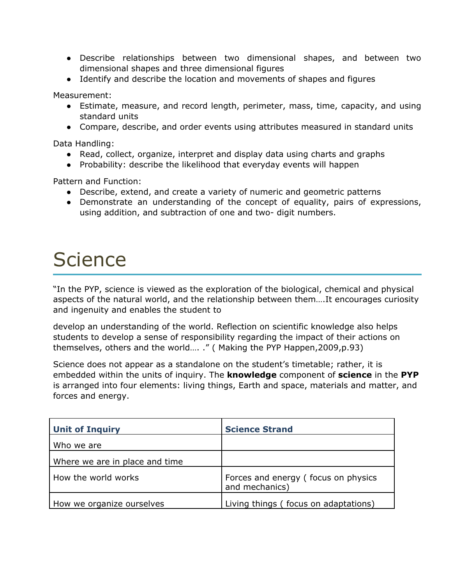- Describe relationships between two dimensional shapes, and between two dimensional shapes and three dimensional figures
- Identify and describe the location and movements of shapes and figures

Measurement:

- Estimate, measure, and record length, perimeter, mass, time, capacity, and using standard units
- Compare, describe, and order events using attributes measured in standard units

Data Handling:

- Read, collect, organize, interpret and display data using charts and graphs
- Probability: describe the likelihood that everyday events will happen

Pattern and Function:

- Describe, extend, and create a variety of numeric and geometric patterns
- Demonstrate an understanding of the concept of equality, pairs of expressions, using addition, and subtraction of one and two- digit numbers.

### **Science**

"In the PYP, science is viewed as the exploration of the biological, chemical and physical aspects of the natural world, and the relationship between them….It encourages curiosity and ingenuity and enables the student to

develop an understanding of the world. Reflection on scientific knowledge also helps students to develop a sense of responsibility regarding the impact of their actions on themselves, others and the world…. ." ( Making the PYP Happen,2009,p.93)

Science does not appear as a standalone on the student's timetable; rather, it is embedded within the units of inquiry. The **knowledge** component of **science** in the **PYP** is arranged into four elements: living things, Earth and space, materials and matter, and forces and energy.

| <b>Unit of Inquiry</b>         | <b>Science Strand</b>                                 |
|--------------------------------|-------------------------------------------------------|
| Who we are                     |                                                       |
| Where we are in place and time |                                                       |
| How the world works            | Forces and energy (focus on physics<br>and mechanics) |
| How we organize ourselves      | Living things (focus on adaptations)                  |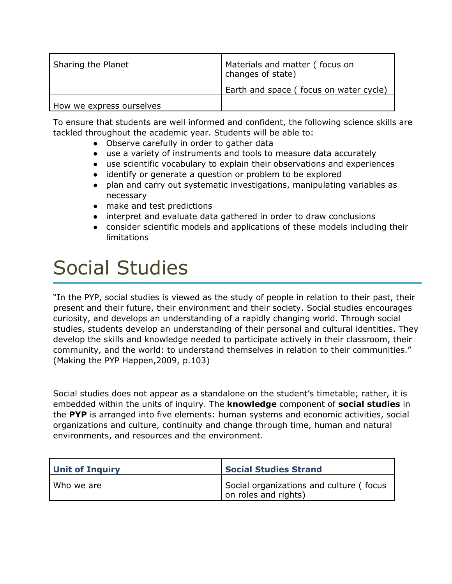| Sharing the Planet       | Materials and matter (focus on<br>changes of state) |
|--------------------------|-----------------------------------------------------|
|                          | Earth and space (focus on water cycle)              |
| How we express ourselves |                                                     |

To ensure that students are well informed and confident, the following science skills are tackled throughout the academic year. Students will be able to:

- Observe carefully in order to gather data
- use a variety of instruments and tools to measure data accurately
- use scientific vocabulary to explain their observations and experiences
- identify or generate a question or problem to be explored
- plan and carry out systematic investigations, manipulating variables as necessary
- make and test predictions
- interpret and evaluate data gathered in order to draw conclusions
- consider scientific models and applications of these models including their limitations

# Social Studies

"In the PYP, social studies is viewed as the study of people in relation to their past, their present and their future, their environment and their society. Social studies encourages curiosity, and develops an understanding of a rapidly changing world. Through social studies, students develop an understanding of their personal and cultural identities. They develop the skills and knowledge needed to participate actively in their classroom, their community, and the world: to understand themselves in relation to their communities." (Making the PYP Happen,2009, p.103)

Social studies does not appear as a standalone on the student's timetable; rather, it is embedded within the units of inquiry. The **knowledge** component of **social studies** in the **PYP** is arranged into five elements: human systems and economic activities, social organizations and culture, continuity and change through time, human and natural environments, and resources and the environment.

| <b>Unit of Inquiry</b> | <b>Social Studies Strand</b>                                    |
|------------------------|-----------------------------------------------------------------|
| Who we are             | Social organizations and culture (focus<br>on roles and rights) |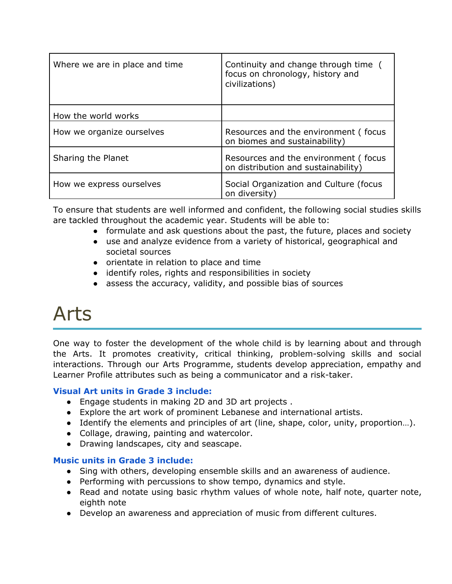| Where we are in place and time | Continuity and change through time (<br>focus on chronology, history and<br>civilizations) |
|--------------------------------|--------------------------------------------------------------------------------------------|
| How the world works            |                                                                                            |
| How we organize ourselves      | Resources and the environment (focus<br>on biomes and sustainability)                      |
| Sharing the Planet             | Resources and the environment (focus<br>on distribution and sustainability)                |
| How we express ourselves       | Social Organization and Culture (focus<br>on diversity)                                    |

To ensure that students are well informed and confident, the following social studies skills are tackled throughout the academic year. Students will be able to:

- formulate and ask questions about the past, the future, places and society
- use and analyze evidence from a variety of historical, geographical and societal sources
- orientate in relation to place and time
- identify roles, rights and responsibilities in society
- assess the accuracy, validity, and possible bias of sources

### Arts

One way to foster the development of the whole child is by learning about and through the Arts. It promotes creativity, critical thinking, problem-solving skills and social interactions. Through our Arts Programme, students develop appreciation, empathy and Learner Profile attributes such as being a communicator and a risk-taker.

### **Visual Art units in Grade 3 include:**

- Engage students in making 2D and 3D art projects .
- Explore the art work of prominent Lebanese and international artists.
- Identify the elements and principles of art (line, shape, color, unity, proportion…).
- Collage, drawing, painting and watercolor.
- Drawing landscapes, city and seascape.

### **Music units in Grade 3 include:**

- Sing with others, developing ensemble skills and an awareness of audience.
- Performing with percussions to show tempo, dynamics and style.
- Read and notate using basic rhythm values of whole note, half note, quarter note, eighth note
- Develop an awareness and appreciation of music from different cultures.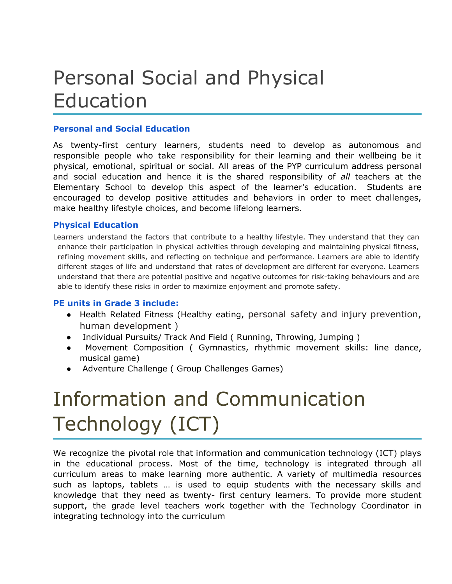# Personal Social and Physical Education

#### **Personal and Social Education**

As twenty-first century learners, students need to develop as autonomous and responsible people who take responsibility for their learning and their wellbeing be it physical, emotional, spiritual or social. All areas of the PYP curriculum address personal and social education and hence it is the shared responsibility of *all* teachers at the Elementary School to develop this aspect of the learner's education. Students are encouraged to develop positive attitudes and behaviors in order to meet challenges, make healthy lifestyle choices, and become lifelong learners.

#### **Physical Education**

Learners understand the factors that contribute to a healthy lifestyle. They understand that they can enhance their participation in physical activities through developing and maintaining physical fitness, refining movement skills, and reflecting on technique and performance. Learners are able to identify different stages of life and understand that rates of development are different for everyone. Learners understand that there are potential positive and negative outcomes for risk-taking behaviours and are able to identify these risks in order to maximize enjoyment and promote safety.

#### **PE units in Grade 3 include:**

- Health Related Fitness (Healthy eating, personal safety and injury prevention, human development )
- Individual Pursuits/ Track And Field ( Running, Throwing, Jumping )
- Movement Composition ( Gymnastics, rhythmic movement skills: line dance, musical game)
- Adventure Challenge ( Group Challenges Games)

# Information and Communication Technology (ICT)

We recognize the pivotal role that information and communication technology (ICT) plays in the educational process. Most of the time, technology is integrated through all curriculum areas to make learning more authentic. A variety of multimedia resources such as laptops, tablets … is used to equip students with the necessary skills and knowledge that they need as twenty- first century learners. To provide more student support, the grade level teachers work together with the Technology Coordinator in integrating technology into the curriculum